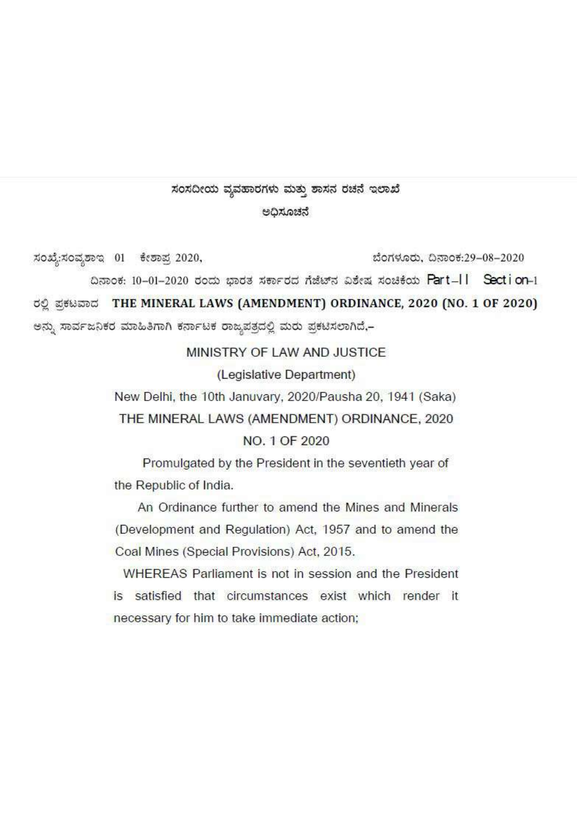# ಸಂಸದೀಯ ವ್ಯವಹಾರಗಳು ಮತ್ತು ಶಾಸನ ರಚನೆ ಇಲಾಖೆ

### ಅದಿಸೂಚನೆ

ಸಂಖ್ಯೆ:ಸಂವೃಶಾಇ 01 ಕೇಶಾಪ್ರ 2020, ಬೆಂಗಳೂರು, ದಿನಾಂಕ:29-08-2020

ದಿನಾಂಕ: 10-01-2020 ರಂದು ಭಾರತ ಸರ್ಕಾರದ ಗೆಜೆಟ್ ವಿಶೇಷ ಸಂಚಿಕೆಯ Part-II Section-1

ರಲ್ಲಿ ಪಕಟವಾದ THE MINERAL LAWS (AMENDMENT) ORDINANCE, 2020 (NO. 1 OF 2020)

ಅನ್ನು ಸಾರ್ವಜನಿಕರ ಮಾಹಿತಿಗಾಗಿ ಕರ್ನಾಟಕ ರಾಜ್ಯಪತ್ರದಲ್ಲಿ ಮರು ಪ್ರಕಟಿಸಲಾಗಿದೆ,-

MINISTRY OF LAW AND JUSTICE

(Legislative Department)

New Delhi, the 10th Januvary, 2020/Pausha 20, 1941 (Saka)

THE MINERAL LAWS (AMENDMENT) ORDINANCE, 2020

NO. 1 OF 2020

Promulgated by the President in the seventieth year of the Republic of India.

An Ordinance further to amend the Mines and Minerals (Development and Regulation) Act, 1957 and to amend the Coal Mines (Special Provisions) Act, 2015.

WHEREAS Parliament is not in session and the President is satisfied that circumstances exist which render it necessary for him to take immediate action;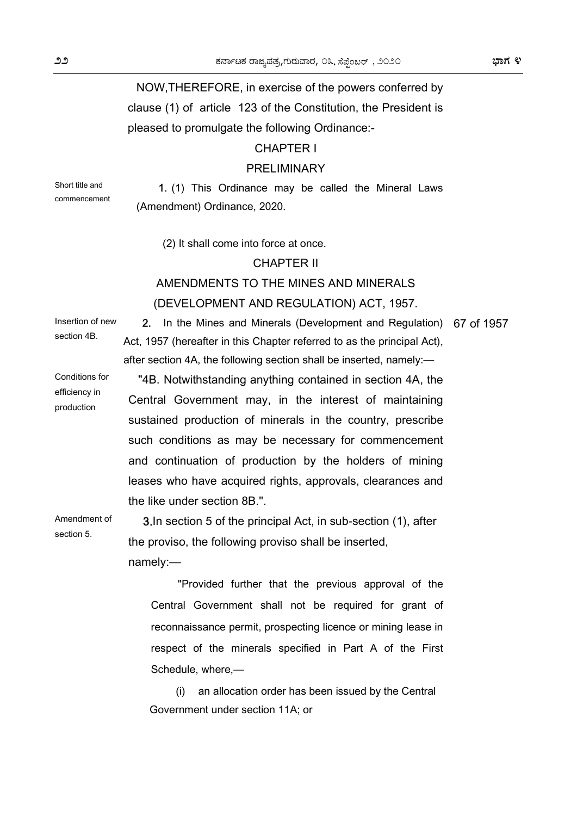## NOW,THEREFORE, in exercise of the powers conferred by clause (1) of article 123 of the Constitution, the President is pleased to promulgate the following Ordinance:-

### CHAPTER I

### PRELIMINARY

Short title and commencement

1. (1) This Ordinance may be called the Mineral Laws (Amendment) Ordinance, 2020.

(2) It shall come into force at once.

### CHAPTER II

### AMENDMENTS TO THE MINES AND MINERALS (DEVELOPMENT AND REGULATION) ACT, 1957.

Insertion of new section 4B.

Conditions for efficiency in production

Amendment of section 5.

2. In the Mines and Minerals (Development and Regulation) 67 of 1957 Act, 1957 (hereafter in this Chapter referred to as the principal Act), after section 4A, the following section shall be inserted, namely:—

 "4B. Notwithstanding anything contained in section 4A, the Central Government may, in the interest of maintaining sustained production of minerals in the country, prescribe such conditions as may be necessary for commencement and continuation of production by the holders of mining leases who have acquired rights, approvals, clearances and the like under section 8B.".

3.In section 5 of the principal Act, in sub-section (1), after the proviso, the following proviso shall be inserted, namely:—

"Provided further that the previous approval of the Central Government shall not be required for grant of reconnaissance permit, prospecting licence or mining lease in respect of the minerals specified in Part A of the First Schedule, where,—

(i) an allocation order has been issued by the Central Government under section 11A; or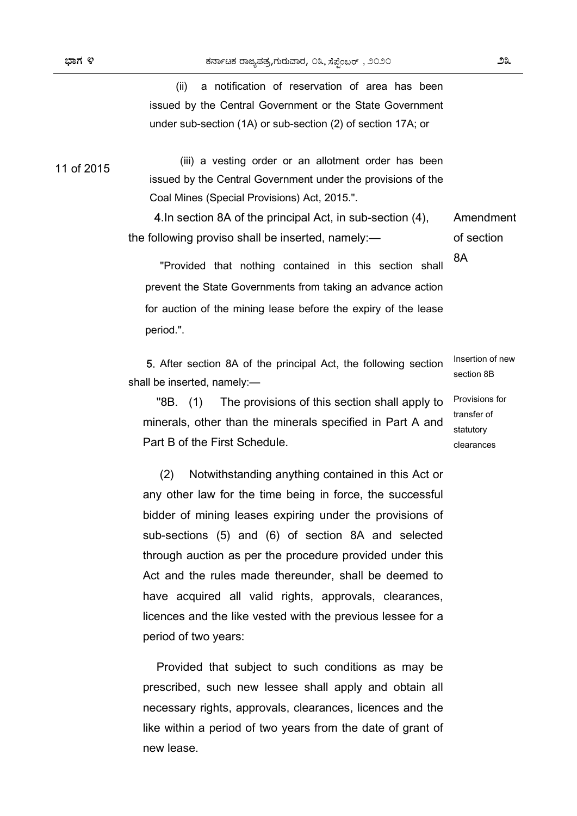(ii) a notification of reservation of area has been issued by the Central Government or the State Government under sub-section (1A) or sub-section (2) of section 17A; or

11 of 2015

(iii) a vesting order or an allotment order has been issued by the Central Government under the provisions of the Coal Mines (Special Provisions) Act, 2015.".

 4.In section 8A of the principal Act, in sub-section (4), the following proviso shall be inserted, namely:— Amendment of section

 "Provided that nothing contained in this section shall prevent the State Governments from taking an advance action for auction of the mining lease before the expiry of the lease period.".

 5. After section 8A of the principal Act, the following section shall be inserted, namely:—

"8B. (1) The provisions of this section shall apply to minerals, other than the minerals specified in Part A and Part B of the First Schedule.

 (2) Notwithstanding anything contained in this Act or any other law for the time being in force, the successful bidder of mining leases expiring under the provisions of sub-sections (5) and (6) of section 8A and selected through auction as per the procedure provided under this Act and the rules made thereunder, shall be deemed to have acquired all valid rights, approvals, clearances, licences and the like vested with the previous lessee for a period of two years:

Provided that subject to such conditions as may be prescribed, such new lessee shall apply and obtain all necessary rights, approvals, clearances, licences and the like within a period of two years from the date of grant of new lease.

Insertion of new section 8B

8A

Provisions for transfer of statutory clearances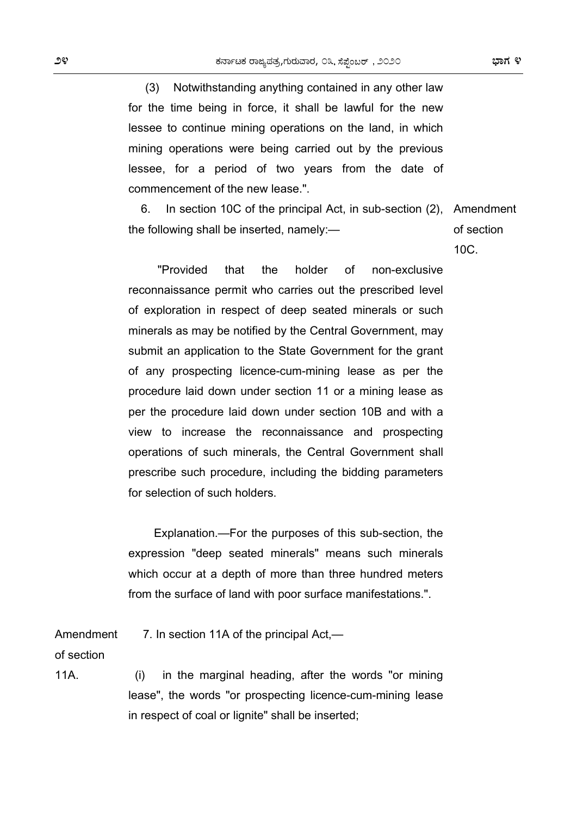(3) Notwithstanding anything contained in any other law for the time being in force, it shall be lawful for the new lessee to continue mining operations on the land, in which mining operations were being carried out by the previous lessee, for a period of two years from the date of commencement of the new lease.".

6. In section 10C of the principal Act, in sub-section (2), the following shall be inserted, namely:— Amendment of section

10C.

 "Provided that the holder of non-exclusive reconnaissance permit who carries out the prescribed level of exploration in respect of deep seated minerals or such minerals as may be notified by the Central Government, may submit an application to the State Government for the grant of any prospecting licence-cum-mining lease as per the procedure laid down under section 11 or a mining lease as per the procedure laid down under section 10B and with a view to increase the reconnaissance and prospecting operations of such minerals, the Central Government shall prescribe such procedure, including the bidding parameters for selection of such holders.

Explanation.—For the purposes of this sub-section, the expression "deep seated minerals" means such minerals which occur at a depth of more than three hundred meters from the surface of land with poor surface manifestations.".

Amendment 7. In section 11A of the principal Act,—

of section

11A.

 (i) in the marginal heading, after the words "or mining lease", the words "or prospecting licence-cum-mining lease in respect of coal or lignite" shall be inserted;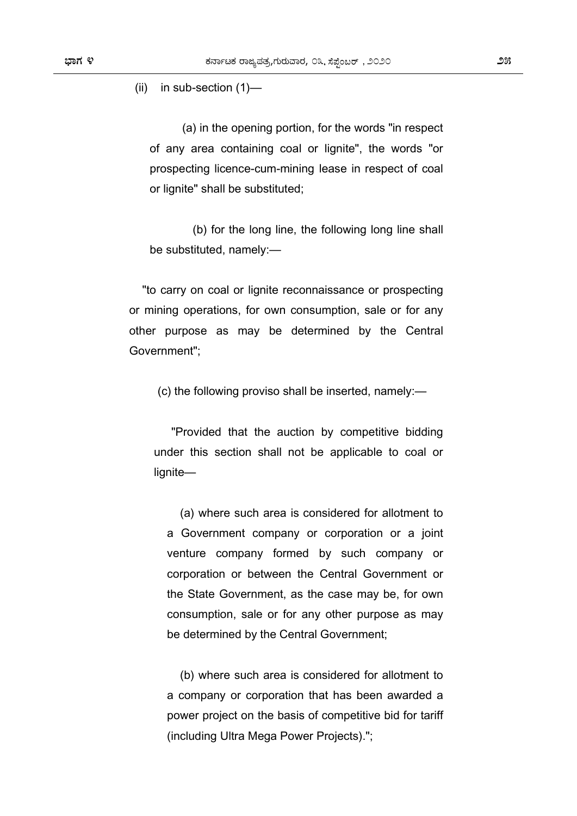(ii) in sub-section (1)—

 (a) in the opening portion, for the words "in respect of any area containing coal or lignite", the words "or prospecting licence-cum-mining lease in respect of coal or lignite" shall be substituted;

 (b) for the long line, the following long line shall be substituted, namely:—

"to carry on coal or lignite reconnaissance or prospecting or mining operations, for own consumption, sale or for any other purpose as may be determined by the Central Government";

(c) the following proviso shall be inserted, namely:—

"Provided that the auction by competitive bidding under this section shall not be applicable to coal or lignite—

(a) where such area is considered for allotment to a Government company or corporation or a joint venture company formed by such company or corporation or between the Central Government or the State Government, as the case may be, for own consumption, sale or for any other purpose as may be determined by the Central Government;

(b) where such area is considered for allotment to a company or corporation that has been awarded a power project on the basis of competitive bid for tariff (including Ultra Mega Power Projects).";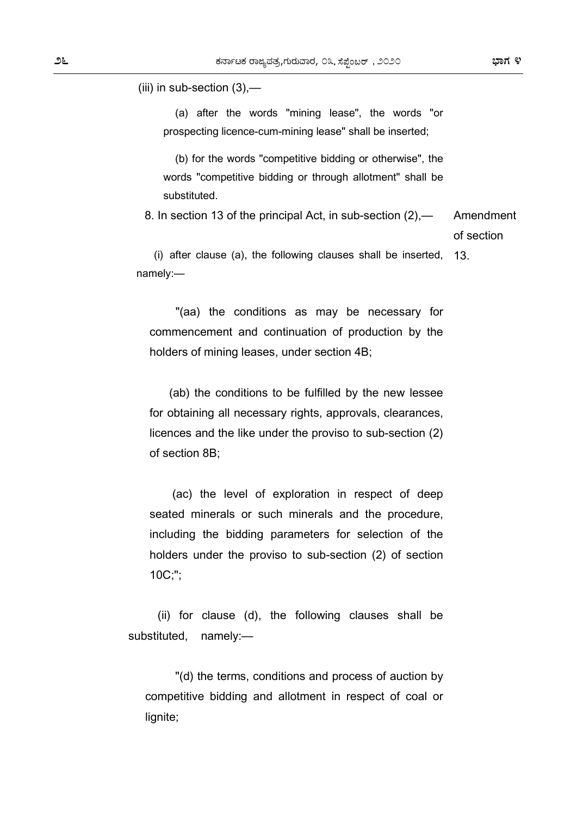(iii) in sub-section (3),—

 (a) after the words "mining lease", the words "or prospecting licence-cum-mining lease" shall be inserted;

 (b) for the words "competitive bidding or otherwise", the words "competitive bidding or through allotment" shall be substituted.

 8. In section 13 of the principal Act, in sub-section (2),— Amendment of section

(i) after clause (a), the following clauses shall be inserted, namely:— 13.

 "(aa) the conditions as may be necessary for commencement and continuation of production by the holders of mining leases, under section 4B;

 (ab) the conditions to be fulfilled by the new lessee for obtaining all necessary rights, approvals, clearances, licences and the like under the proviso to sub-section (2) of section 8B;

 (ac) the level of exploration in respect of deep seated minerals or such minerals and the procedure, including the bidding parameters for selection of the holders under the proviso to sub-section (2) of section 10C;";

 (ii) for clause (d), the following clauses shall be substituted, namely:—

 "(d) the terms, conditions and process of auction by competitive bidding and allotment in respect of coal or lignite;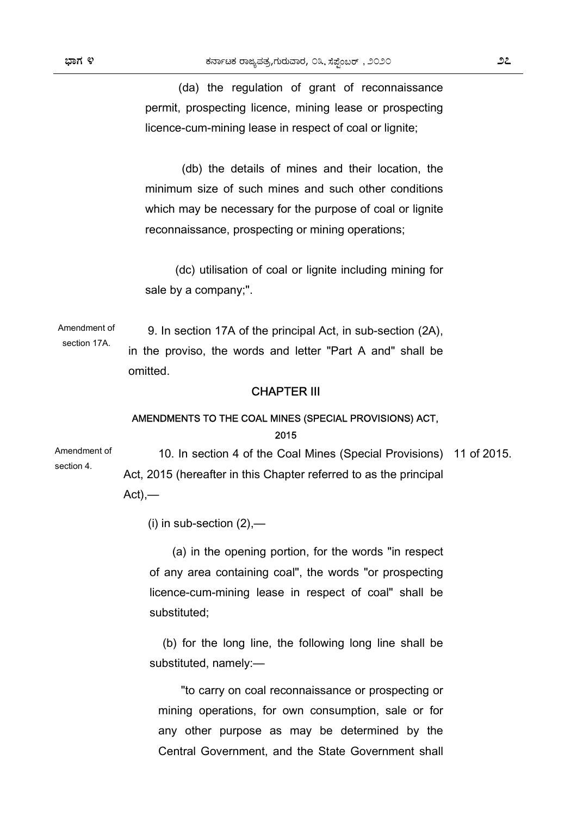(da) the regulation of grant of reconnaissance permit, prospecting licence, mining lease or prospecting licence-cum-mining lease in respect of coal or lignite;

 (db) the details of mines and their location, the minimum size of such mines and such other conditions which may be necessary for the purpose of coal or lignite reconnaissance, prospecting or mining operations;

 (dc) utilisation of coal or lignite including mining for sale by a company;".

Amendment of section 17A. 9. In section 17A of the principal Act, in sub-section (2A), in the proviso, the words and letter "Part A and" shall be omitted.

#### CHAPTER III

### AMENDMENTS TO THE COAL MINES (SPECIAL PROVISIONS) ACT, 2015

Amendment of section 4. 10. In section 4 of the Coal Mines (Special Provisions) 11 of 2015. Act, 2015 (hereafter in this Chapter referred to as the principal  $Act)$ ,—

(i) in sub-section  $(2)$ ,—

 (a) in the opening portion, for the words "in respect of any area containing coal", the words "or prospecting licence-cum-mining lease in respect of coal" shall be substituted;

(b) for the long line, the following long line shall be substituted, namely:—

 "to carry on coal reconnaissance or prospecting or mining operations, for own consumption, sale or for any other purpose as may be determined by the Central Government, and the State Government shall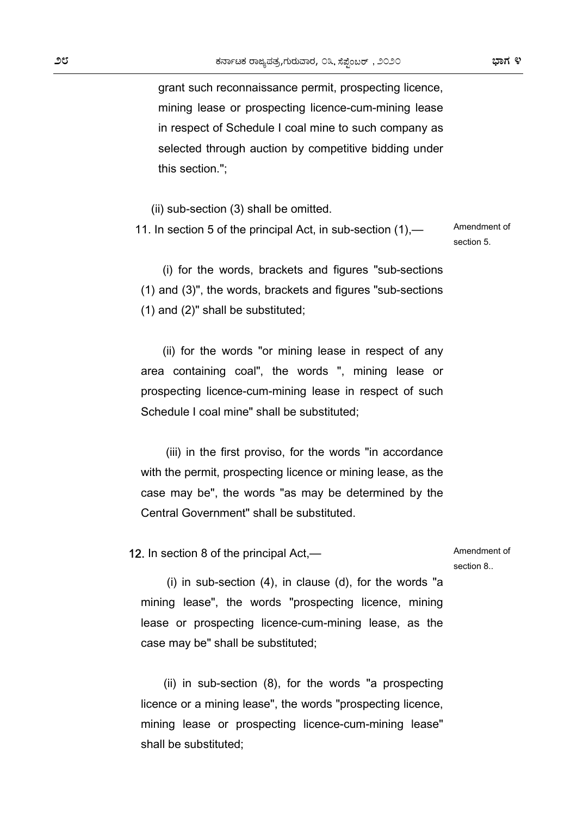grant such reconnaissance permit, prospecting licence, mining lease or prospecting licence-cum-mining lease in respect of Schedule I coal mine to such company as selected through auction by competitive bidding under this section.";

(ii) sub-section (3) shall be omitted.

 11. In section 5 of the principal Act, in sub-section (1),— Amendment of section 5.

(i) for the words, brackets and figures "sub-sections (1) and (3)", the words, brackets and figures "sub-sections (1) and (2)" shall be substituted;

(ii) for the words "or mining lease in respect of any area containing coal", the words ", mining lease or prospecting licence-cum-mining lease in respect of such Schedule I coal mine" shall be substituted;

 (iii) in the first proviso, for the words "in accordance with the permit, prospecting licence or mining lease, as the case may be", the words "as may be determined by the Central Government" shall be substituted.

12. In section 8 of the principal Act,—

Amendment of section 8..

 (i) in sub-section (4), in clause (d), for the words "a mining lease", the words "prospecting licence, mining lease or prospecting licence-cum-mining lease, as the case may be" shall be substituted;

 (ii) in sub-section (8), for the words "a prospecting licence or a mining lease", the words "prospecting licence, mining lease or prospecting licence-cum-mining lease" shall be substituted;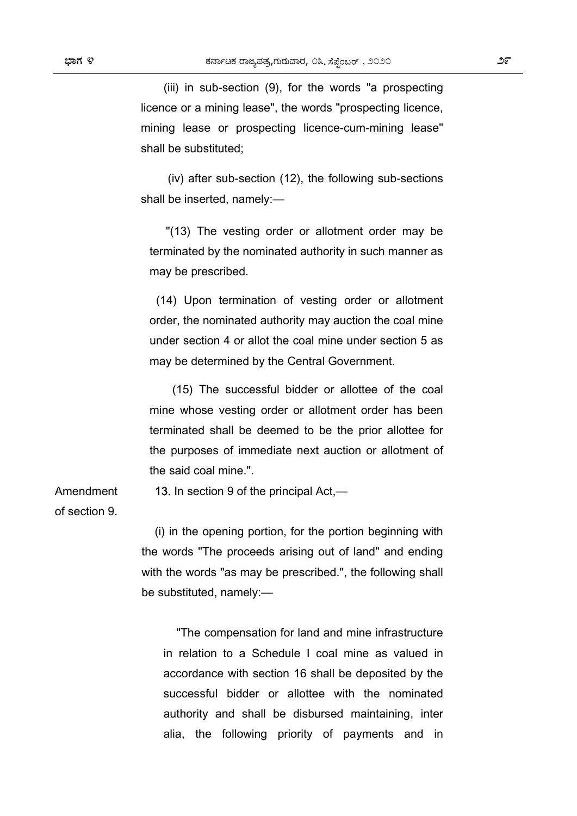(iii) in sub-section (9), for the words "a prospecting licence or a mining lease", the words "prospecting licence, mining lease or prospecting licence-cum-mining lease" shall be substituted;

 (iv) after sub-section (12), the following sub-sections shall be inserted, namely:—

 "(13) The vesting order or allotment order may be terminated by the nominated authority in such manner as may be prescribed.

 (14) Upon termination of vesting order or allotment order, the nominated authority may auction the coal mine under section 4 or allot the coal mine under section 5 as may be determined by the Central Government.

 (15) The successful bidder or allottee of the coal mine whose vesting order or allotment order has been terminated shall be deemed to be the prior allottee for the purposes of immediate next auction or allotment of the said coal mine.".

13. In section 9 of the principal Act,—

of section 9.

Amendment

(i) in the opening portion, for the portion beginning with the words "The proceeds arising out of land" and ending with the words "as may be prescribed.", the following shall be substituted, namely:—

"The compensation for land and mine infrastructure in relation to a Schedule I coal mine as valued in accordance with section 16 shall be deposited by the successful bidder or allottee with the nominated authority and shall be disbursed maintaining, inter alia, the following priority of payments and in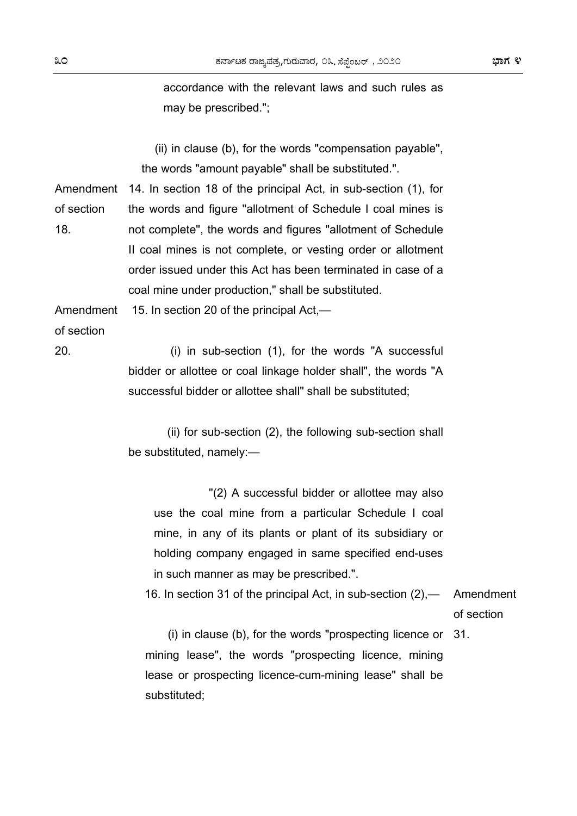accordance with the relevant laws and such rules as may be prescribed.";

(ii) in clause (b), for the words "compensation payable", the words "amount payable" shall be substituted.".

Amendment 14. In section 18 of the principal Act, in sub-section (1), for of section 18. the words and figure "allotment of Schedule I coal mines is not complete", the words and figures "allotment of Schedule II coal mines is not complete, or vesting order or allotment order issued under this Act has been terminated in case of a coal mine under production," shall be substituted.

Amendment 15. In section 20 of the principal Act,—

of section

20.

 (i) in sub-section (1), for the words "A successful bidder or allottee or coal linkage holder shall", the words "A successful bidder or allottee shall" shall be substituted;

 (ii) for sub-section (2), the following sub-section shall be substituted, namely:—

 "(2) A successful bidder or allottee may also use the coal mine from a particular Schedule I coal mine, in any of its plants or plant of its subsidiary or holding company engaged in same specified end-uses in such manner as may be prescribed.".

 16. In section 31 of the principal Act, in sub-section (2),— Amendment of section

 (i) in clause (b), for the words "prospecting licence or 31. mining lease", the words "prospecting licence, mining lease or prospecting licence-cum-mining lease" shall be substituted;